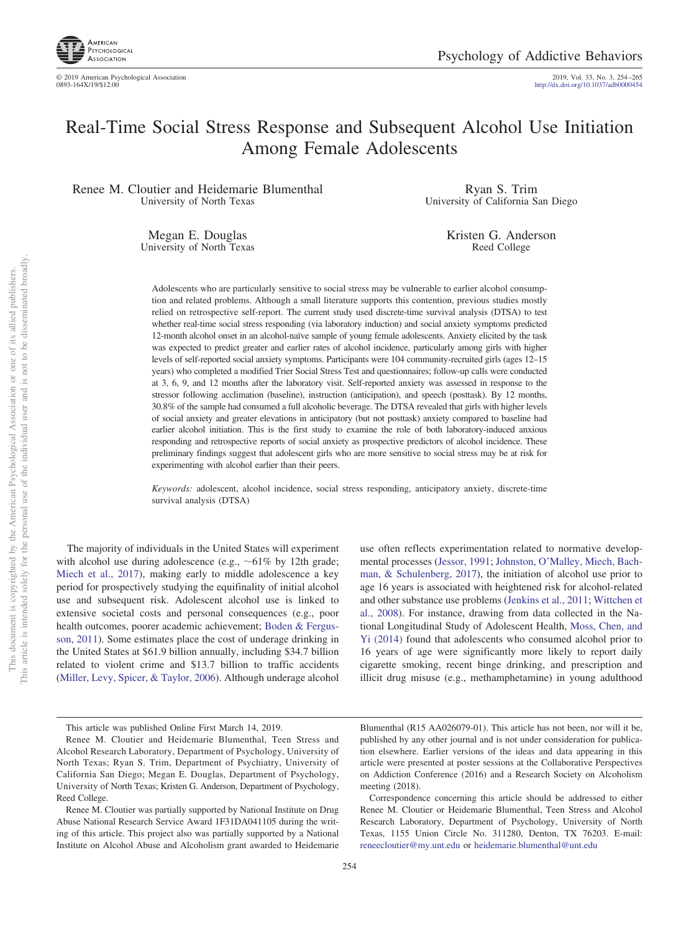

2019, Vol. 33, No. 3, 254-265<br>http://dx.doi.org[/10.1037/adb0000454](http://dx.doi.org/10.1037/adb0000454)

# Real-Time Social Stress Response and Subsequent Alcohol Use Initiation Among Female Adolescents

Renee M. Cloutier and Heidemarie Blumenthal University of North Texas

> Megan E. Douglas University of North Texas

Ryan S. Trim University of California San Diego

> Kristen G. Anderson Reed College

Adolescents who are particularly sensitive to social stress may be vulnerable to earlier alcohol consumption and related problems. Although a small literature supports this contention, previous studies mostly relied on retrospective self-report. The current study used discrete-time survival analysis (DTSA) to test whether real-time social stress responding (via laboratory induction) and social anxiety symptoms predicted 12-month alcohol onset in an alcohol-naïve sample of young female adolescents. Anxiety elicited by the task was expected to predict greater and earlier rates of alcohol incidence, particularly among girls with higher levels of self-reported social anxiety symptoms. Participants were 104 community-recruited girls (ages 12–15 years) who completed a modified Trier Social Stress Test and questionnaires; follow-up calls were conducted at 3, 6, 9, and 12 months after the laboratory visit. Self-reported anxiety was assessed in response to the stressor following acclimation (baseline), instruction (anticipation), and speech (posttask). By 12 months, 30.8% of the sample had consumed a full alcoholic beverage. The DTSA revealed that girls with higher levels of social anxiety and greater elevations in anticipatory (but not posttask) anxiety compared to baseline had earlier alcohol initiation. This is the first study to examine the role of both laboratory-induced anxious responding and retrospective reports of social anxiety as prospective predictors of alcohol incidence. These preliminary findings suggest that adolescent girls who are more sensitive to social stress may be at risk for experimenting with alcohol earlier than their peers.

*Keywords:* adolescent, alcohol incidence, social stress responding, anticipatory anxiety, discrete-time survival analysis (DTSA)

The majority of individuals in the United States will experiment with alcohol use during adolescence (e.g.,  $~61\%$  by 12th grade; [Miech et al., 2017\)](#page-11-0), making early to middle adolescence a key period for prospectively studying the equifinality of initial alcohol use and subsequent risk. Adolescent alcohol use is linked to extensive societal costs and personal consequences (e.g., poor health outcomes, poorer academic achievement; [Boden & Fergus](#page-9-0)[son, 2011\)](#page-9-0). Some estimates place the cost of underage drinking in the United States at \$61.9 billion annually, including \$34.7 billion related to violent crime and \$13.7 billion to traffic accidents [\(Miller, Levy, Spicer, & Taylor, 2006\)](#page-11-1). Although underage alcohol

use often reflects experimentation related to normative developmental processes [\(Jessor, 1991;](#page-10-0) [Johnston, O'Malley, Miech, Bach](#page-10-1)[man, & Schulenberg, 2017\)](#page-10-1), the initiation of alcohol use prior to age 16 years is associated with heightened risk for alcohol-related and other substance use problems [\(Jenkins et al., 2011;](#page-10-2) [Wittchen et](#page-11-2) [al., 2008\)](#page-11-2). For instance, drawing from data collected in the National Longitudinal Study of Adolescent Health, [Moss, Chen, and](#page-11-3) [Yi \(2014\)](#page-11-3) found that adolescents who consumed alcohol prior to 16 years of age were significantly more likely to report daily cigarette smoking, recent binge drinking, and prescription and illicit drug misuse (e.g., methamphetamine) in young adulthood

Blumenthal (R15 AA026079-01). This article has not been, nor will it be, published by any other journal and is not under consideration for publication elsewhere. Earlier versions of the ideas and data appearing in this article were presented at poster sessions at the Collaborative Perspectives on Addiction Conference (2016) and a Research Society on Alcoholism meeting (2018).

Correspondence concerning this article should be addressed to either Renee M. Cloutier or Heidemarie Blumenthal, Teen Stress and Alcohol Research Laboratory, Department of Psychology, University of North Texas, 1155 Union Circle No. 311280, Denton, TX 76203. E-mail: [reneecloutier@my.unt.edu](mailto:reneecloutier@my.unt.edu) or [heidemarie.blumenthal@unt.edu](mailto:heidemarie.blumenthal@unt.edu)

This article was published Online First March 14, 2019.

Renee M. Cloutier and Heidemarie Blumenthal, Teen Stress and Alcohol Research Laboratory, Department of Psychology, University of North Texas; Ryan S. Trim, Department of Psychiatry, University of California San Diego; Megan E. Douglas, Department of Psychology, University of North Texas; Kristen G. Anderson, Department of Psychology, Reed College.

Renee M. Cloutier was partially supported by National Institute on Drug Abuse National Research Service Award 1F31DA041105 during the writing of this article. This project also was partially supported by a National Institute on Alcohol Abuse and Alcoholism grant awarded to Heidemarie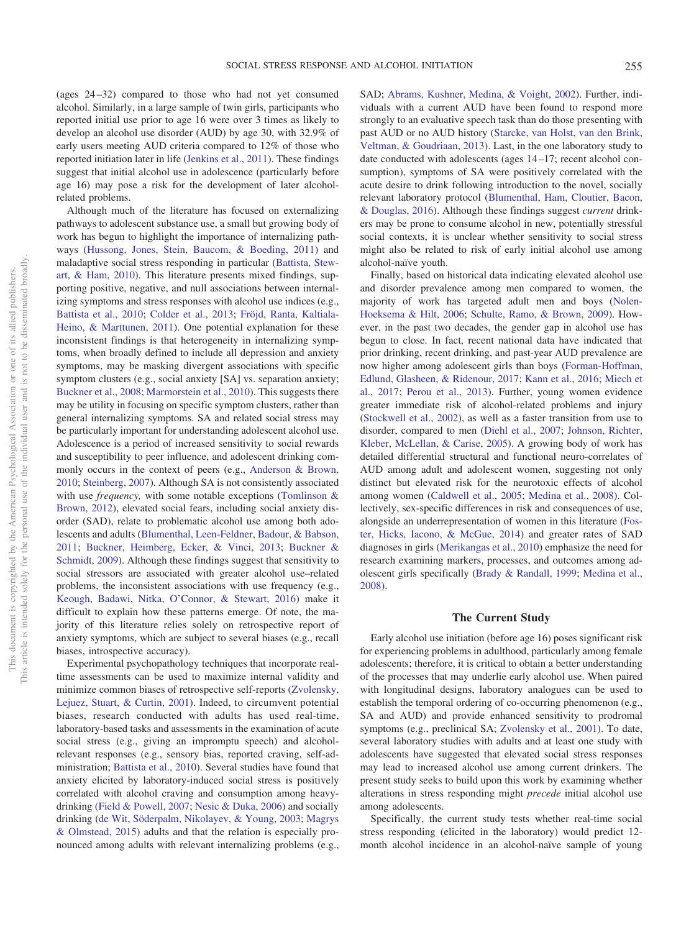(ages 24 –32) compared to those who had not yet consumed alcohol. Similarly, in a large sample of twin girls, participants who reported initial use prior to age 16 were over 3 times as likely to develop an alcohol use disorder (AUD) by age 30, with 32.9% of early users meeting AUD criteria compared to 12% of those who reported initiation later in life [\(Jenkins et al., 2011\)](#page-10-2). These findings suggest that initial alcohol use in adolescence (particularly before age 16) may pose a risk for the development of later alcoholrelated problems.

Although much of the literature has focused on externalizing pathways to adolescent substance use, a small but growing body of work has begun to highlight the importance of internalizing pathways [\(Hussong, Jones, Stein, Baucom, & Boeding, 2011\)](#page-10-3) and maladaptive social stress responding in particular [\(Battista, Stew](#page-9-1)[art, & Ham, 2010\)](#page-9-1). This literature presents mixed findings, supporting positive, negative, and null associations between internalizing symptoms and stress responses with alcohol use indices (e.g., [Battista et al., 2010;](#page-9-1) [Colder et al., 2013;](#page-9-2) [Fröjd, Ranta, Kaltiala-](#page-10-4)[Heino, & Marttunen, 2011\)](#page-10-4). One potential explanation for these inconsistent findings is that heterogeneity in internalizing symptoms, when broadly defined to include all depression and anxiety symptoms, may be masking divergent associations with specific symptom clusters (e.g., social anxiety [SA] vs. separation anxiety; [Buckner et al., 2008;](#page-9-3) [Marmorstein et al., 2010\)](#page-10-5). This suggests there may be utility in focusing on specific symptom clusters, rather than general internalizing symptoms. SA and related social stress may be particularly important for understanding adolescent alcohol use. Adolescence is a period of increased sensitivity to social rewards and susceptibility to peer influence, and adolescent drinking commonly occurs in the context of peers (e.g., [Anderson & Brown,](#page-9-4) [2010;](#page-9-4) [Steinberg, 2007\)](#page-11-4). Although SA is not consistently associated with use *frequency,* with some notable exceptions [\(Tomlinson &](#page-11-5) [Brown, 2012\)](#page-11-5), elevated social fears, including social anxiety disorder (SAD), relate to problematic alcohol use among both adolescents and adults [\(Blumenthal, Leen-Feldner, Badour, & Babson,](#page-9-5) [2011;](#page-9-5) [Buckner, Heimberg, Ecker, & Vinci, 2013;](#page-9-6) [Buckner &](#page-9-7) [Schmidt, 2009\)](#page-9-7). Although these findings suggest that sensitivity to social stressors are associated with greater alcohol use–related problems, the inconsistent associations with use frequency (e.g., [Keough, Badawi, Nitka, O'Connor, & Stewart, 2016\)](#page-10-6) make it difficult to explain how these patterns emerge. Of note, the majority of this literature relies solely on retrospective report of anxiety symptoms, which are subject to several biases (e.g., recall biases, introspective accuracy).

Experimental psychopathology techniques that incorporate realtime assessments can be used to maximize internal validity and minimize common biases of retrospective self-reports [\(Zvolensky,](#page-11-6) [Lejuez, Stuart, & Curtin, 2001\)](#page-11-6). Indeed, to circumvent potential biases, research conducted with adults has used real-time, laboratory-based tasks and assessments in the examination of acute social stress (e.g., giving an impromptu speech) and alcoholrelevant responses (e.g., sensory bias, reported craving, self-administration; [Battista et al., 2010\)](#page-9-1). Several studies have found that anxiety elicited by laboratory-induced social stress is positively correlated with alcohol craving and consumption among heavydrinking [\(Field & Powell, 2007;](#page-10-7) [Nesic & Duka, 2006\)](#page-11-7) and socially drinking [\(de Wit, Söderpalm, Nikolayev, & Young, 2003;](#page-10-8) [Magrys](#page-10-9) [& Olmstead, 2015\)](#page-10-9) adults and that the relation is especially pronounced among adults with relevant internalizing problems (e.g.,

SAD; [Abrams, Kushner, Medina, & Voight, 2002\)](#page-9-8). Further, individuals with a current AUD have been found to respond more strongly to an evaluative speech task than do those presenting with past AUD or no AUD history [\(Starcke, van Holst, van den Brink,](#page-11-8) [Veltman, & Goudriaan, 2013\)](#page-11-8). Last, in the one laboratory study to date conducted with adolescents (ages 14 –17; recent alcohol consumption), symptoms of SA were positively correlated with the acute desire to drink following introduction to the novel, socially relevant laboratory protocol [\(Blumenthal, Ham, Cloutier, Bacon,](#page-9-9) [& Douglas, 2016\)](#page-9-9). Although these findings suggest *current* drinkers may be prone to consume alcohol in new, potentially stressful social contexts, it is unclear whether sensitivity to social stress might also be related to risk of early initial alcohol use among alcohol-naïve youth.

Finally, based on historical data indicating elevated alcohol use and disorder prevalence among men compared to women, the majority of work has targeted adult men and boys [\(Nolen-](#page-11-9)[Hoeksema & Hilt, 2006;](#page-11-9) [Schulte, Ramo, & Brown, 2009\)](#page-11-10). However, in the past two decades, the gender gap in alcohol use has begun to close. In fact, recent national data have indicated that prior drinking, recent drinking, and past-year AUD prevalence are now higher among adolescent girls than boys [\(Forman-Hoffman,](#page-10-10) [Edlund, Glasheen, & Ridenour, 2017;](#page-10-10) [Kann et al., 2016;](#page-10-11) [Miech et](#page-11-0) [al., 2017;](#page-11-0) [Perou et al., 2013\)](#page-11-11). Further, young women evidence greater immediate risk of alcohol-related problems and injury [\(Stockwell et al., 2002\)](#page-11-12), as well as a faster transition from use to disorder, compared to men [\(Diehl et al., 2007;](#page-10-12) [Johnson, Richter,](#page-10-13) [Kleber, McLellan, & Carise, 2005\)](#page-10-13). A growing body of work has detailed differential structural and functional neuro-correlates of AUD among adult and adolescent women, suggesting not only distinct but elevated risk for the neurotoxic effects of alcohol among women [\(Caldwell et al., 2005;](#page-9-10) [Medina et al., 2008\)](#page-11-13). Collectively, sex-specific differences in risk and consequences of use, alongside an underrepresentation of women in this literature [\(Fos](#page-10-14)[ter, Hicks, Iacono, & McGue, 2014\)](#page-10-14) and greater rates of SAD diagnoses in girls [\(Merikangas et al., 2010\)](#page-11-14) emphasize the need for research examining markers, processes, and outcomes among adolescent girls specifically [\(Brady & Randall, 1999;](#page-9-11) [Medina et al.,](#page-11-13) [2008\)](#page-11-13).

### **The Current Study**

Early alcohol use initiation (before age 16) poses significant risk for experiencing problems in adulthood, particularly among female adolescents; therefore, it is critical to obtain a better understanding of the processes that may underlie early alcohol use. When paired with longitudinal designs, laboratory analogues can be used to establish the temporal ordering of co-occurring phenomenon (e.g., SA and AUD) and provide enhanced sensitivity to prodromal symptoms (e.g., preclinical SA; [Zvolensky et al., 2001\)](#page-11-6). To date, several laboratory studies with adults and at least one study with adolescents have suggested that elevated social stress responses may lead to increased alcohol use among current drinkers. The present study seeks to build upon this work by examining whether alterations in stress responding might *precede* initial alcohol use among adolescents.

Specifically, the current study tests whether real-time social stress responding (elicited in the laboratory) would predict 12 month alcohol incidence in an alcohol-naïve sample of young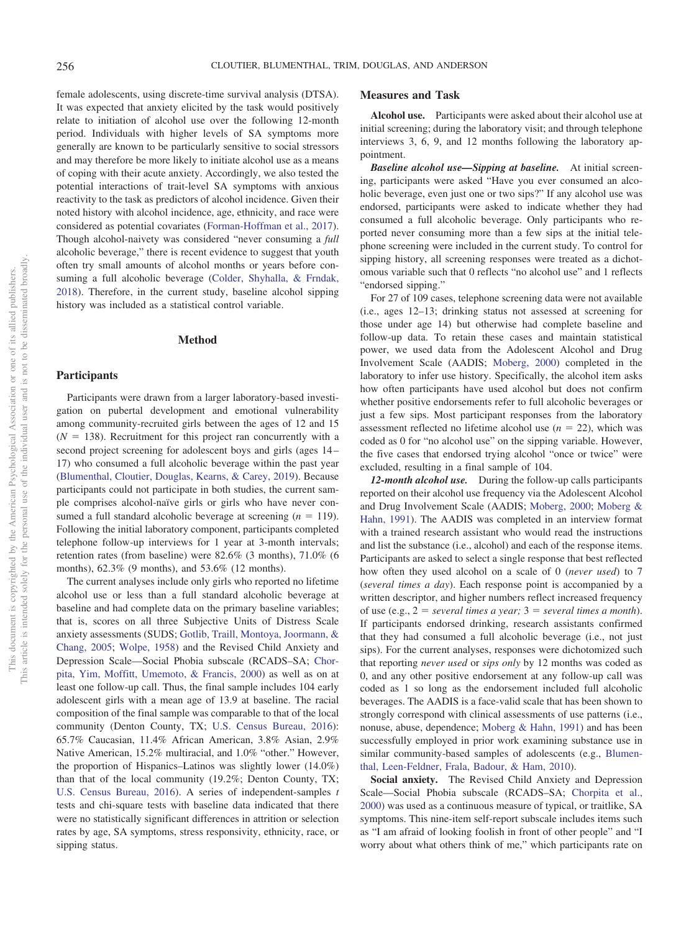female adolescents, using discrete-time survival analysis (DTSA). It was expected that anxiety elicited by the task would positively relate to initiation of alcohol use over the following 12-month period. Individuals with higher levels of SA symptoms more generally are known to be particularly sensitive to social stressors and may therefore be more likely to initiate alcohol use as a means of coping with their acute anxiety. Accordingly, we also tested the potential interactions of trait-level SA symptoms with anxious reactivity to the task as predictors of alcohol incidence. Given their noted history with alcohol incidence, age, ethnicity, and race were considered as potential covariates [\(Forman-Hoffman et al., 2017\)](#page-10-10). Though alcohol-naivety was considered "never consuming a *full* alcoholic beverage," there is recent evidence to suggest that youth often try small amounts of alcohol months or years before consuming a full alcoholic beverage [\(Colder, Shyhalla, & Frndak,](#page-9-12) [2018\)](#page-9-12). Therefore, in the current study, baseline alcohol sipping history was included as a statistical control variable.

#### **Method**

# **Participants**

Participants were drawn from a larger laboratory-based investigation on pubertal development and emotional vulnerability among community-recruited girls between the ages of 12 and 15  $(N = 138)$ . Recruitment for this project ran concurrently with a second project screening for adolescent boys and girls (ages 14 – 17) who consumed a full alcoholic beverage within the past year [\(Blumenthal, Cloutier, Douglas, Kearns, & Carey, 2019\)](#page-9-13). Because participants could not participate in both studies, the current sample comprises alcohol-naïve girls or girls who have never consumed a full standard alcoholic beverage at screening  $(n = 119)$ . Following the initial laboratory component, participants completed telephone follow-up interviews for 1 year at 3-month intervals; retention rates (from baseline) were 82.6% (3 months), 71.0% (6 months), 62.3% (9 months), and 53.6% (12 months).

The current analyses include only girls who reported no lifetime alcohol use or less than a full standard alcoholic beverage at baseline and had complete data on the primary baseline variables; that is, scores on all three Subjective Units of Distress Scale anxiety assessments (SUDS; [Gotlib, Traill, Montoya, Joormann, &](#page-10-15) [Chang, 2005;](#page-10-15) [Wolpe, 1958\)](#page-11-15) and the Revised Child Anxiety and Depression Scale—Social Phobia subscale (RCADS–SA; [Chor](#page-9-14)[pita, Yim, Moffitt, Umemoto, & Francis, 2000\)](#page-9-14) as well as on at least one follow-up call. Thus, the final sample includes 104 early adolescent girls with a mean age of 13.9 at baseline. The racial composition of the final sample was comparable to that of the local community (Denton County, TX; [U.S. Census Bureau, 2016\)](#page-11-16): 65.7% Caucasian, 11.4% African American, 3.8% Asian, 2.9% Native American, 15.2% multiracial, and 1.0% "other." However, the proportion of Hispanics–Latinos was slightly lower (14.0%) than that of the local community (19.2%; Denton County, TX; [U.S. Census Bureau, 2016\)](#page-11-16). A series of independent-samples *t* tests and chi-square tests with baseline data indicated that there were no statistically significant differences in attrition or selection rates by age, SA symptoms, stress responsivity, ethnicity, race, or sipping status.

## **Measures and Task**

**Alcohol use.** Participants were asked about their alcohol use at initial screening; during the laboratory visit; and through telephone interviews 3, 6, 9, and 12 months following the laboratory appointment.

*Baseline alcohol use—Sipping at baseline.* At initial screening, participants were asked "Have you ever consumed an alcoholic beverage, even just one or two sips?" If any alcohol use was endorsed, participants were asked to indicate whether they had consumed a full alcoholic beverage. Only participants who reported never consuming more than a few sips at the initial telephone screening were included in the current study. To control for sipping history, all screening responses were treated as a dichotomous variable such that 0 reflects "no alcohol use" and 1 reflects "endorsed sipping."

For 27 of 109 cases, telephone screening data were not available (i.e., ages 12–13; drinking status not assessed at screening for those under age 14) but otherwise had complete baseline and follow-up data. To retain these cases and maintain statistical power, we used data from the Adolescent Alcohol and Drug Involvement Scale (AADIS; [Moberg, 2000\)](#page-11-17) completed in the laboratory to infer use history. Specifically, the alcohol item asks how often participants have used alcohol but does not confirm whether positive endorsements refer to full alcoholic beverages or just a few sips. Most participant responses from the laboratory assessment reflected no lifetime alcohol use  $(n = 22)$ , which was coded as 0 for "no alcohol use" on the sipping variable. However, the five cases that endorsed trying alcohol "once or twice" were excluded, resulting in a final sample of 104.

*12-month alcohol use.* During the follow-up calls participants reported on their alcohol use frequency via the Adolescent Alcohol and Drug Involvement Scale (AADIS; [Moberg, 2000;](#page-11-17) [Moberg &](#page-11-18) [Hahn, 1991\)](#page-11-18). The AADIS was completed in an interview format with a trained research assistant who would read the instructions and list the substance (i.e., alcohol) and each of the response items. Participants are asked to select a single response that best reflected how often they used alcohol on a scale of 0 (*never used*) to 7 (*several times a day*). Each response point is accompanied by a written descriptor, and higher numbers reflect increased frequency of use (e.g.,  $2 = several times a year$ ;  $3 = several times a month$ ). If participants endorsed drinking, research assistants confirmed that they had consumed a full alcoholic beverage (i.e., not just sips). For the current analyses, responses were dichotomized such that reporting *never used* or *sips only* by 12 months was coded as 0, and any other positive endorsement at any follow-up call was coded as 1 so long as the endorsement included full alcoholic beverages. The AADIS is a face-valid scale that has been shown to strongly correspond with clinical assessments of use patterns (i.e., nonuse, abuse, dependence; [Moberg & Hahn, 1991\)](#page-11-18) and has been successfully employed in prior work examining substance use in similar community-based samples of adolescents (e.g., [Blumen](#page-9-15)[thal, Leen-Feldner, Frala, Badour, & Ham, 2010\)](#page-9-15).

**Social anxiety.** The Revised Child Anxiety and Depression Scale—Social Phobia subscale (RCADS–SA; [Chorpita et al.,](#page-9-14) [2000\)](#page-9-14) was used as a continuous measure of typical, or traitlike, SA symptoms. This nine-item self-report subscale includes items such as "I am afraid of looking foolish in front of other people" and "I worry about what others think of me," which participants rate on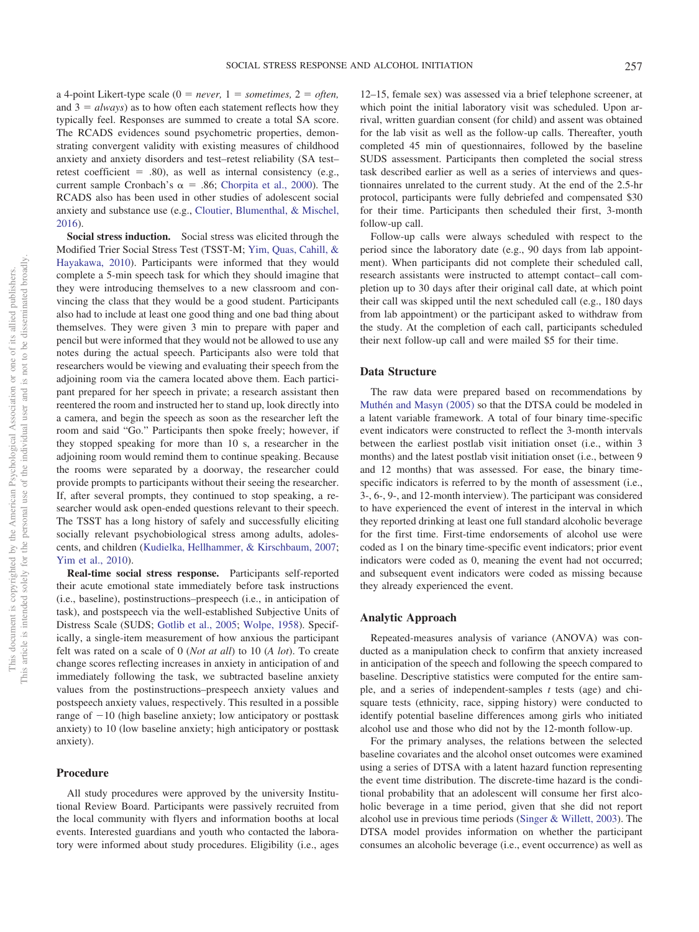a 4-point Likert-type scale  $(0 = never, 1 = sometimes, 2 = often,$ and  $3 = always$ ) as to how often each statement reflects how they typically feel. Responses are summed to create a total SA score. The RCADS evidences sound psychometric properties, demonstrating convergent validity with existing measures of childhood anxiety and anxiety disorders and test–retest reliability (SA test– retest coefficient  $=$  .80), as well as internal consistency (e.g., current sample Cronbach's  $\alpha = .86$ ; [Chorpita et al., 2000\)](#page-9-14). The RCADS also has been used in other studies of adolescent social anxiety and substance use (e.g., [Cloutier, Blumenthal, & Mischel,](#page-9-16) [2016\)](#page-9-16).

**Social stress induction.** Social stress was elicited through the Modified Trier Social Stress Test (TSST-M; [Yim, Quas, Cahill, &](#page-11-19) [Hayakawa, 2010\)](#page-11-19). Participants were informed that they would complete a 5-min speech task for which they should imagine that they were introducing themselves to a new classroom and convincing the class that they would be a good student. Participants also had to include at least one good thing and one bad thing about themselves. They were given 3 min to prepare with paper and pencil but were informed that they would not be allowed to use any notes during the actual speech. Participants also were told that researchers would be viewing and evaluating their speech from the adjoining room via the camera located above them. Each participant prepared for her speech in private; a research assistant then reentered the room and instructed her to stand up, look directly into a camera, and begin the speech as soon as the researcher left the room and said "Go." Participants then spoke freely; however, if they stopped speaking for more than 10 s, a researcher in the adjoining room would remind them to continue speaking. Because the rooms were separated by a doorway, the researcher could provide prompts to participants without their seeing the researcher. If, after several prompts, they continued to stop speaking, a researcher would ask open-ended questions relevant to their speech. The TSST has a long history of safely and successfully eliciting socially relevant psychobiological stress among adults, adolescents, and children [\(Kudielka, Hellhammer, & Kirschbaum, 2007;](#page-10-16) [Yim et al., 2010\)](#page-11-19).

**Real-time social stress response.** Participants self-reported their acute emotional state immediately before task instructions (i.e., baseline), postinstructions–prespeech (i.e., in anticipation of task), and postspeech via the well-established Subjective Units of Distress Scale (SUDS; [Gotlib et al., 2005;](#page-10-15) [Wolpe, 1958\)](#page-11-15). Specifically, a single-item measurement of how anxious the participant felt was rated on a scale of 0 (*Not at all*) to 10 (*A lot*). To create change scores reflecting increases in anxiety in anticipation of and immediately following the task, we subtracted baseline anxiety values from the postinstructions–prespeech anxiety values and postspeech anxiety values, respectively. This resulted in a possible range of  $-10$  (high baseline anxiety; low anticipatory or posttask anxiety) to 10 (low baseline anxiety; high anticipatory or posttask anxiety).

### **Procedure**

All study procedures were approved by the university Institutional Review Board. Participants were passively recruited from the local community with flyers and information booths at local events. Interested guardians and youth who contacted the laboratory were informed about study procedures. Eligibility (i.e., ages

12–15, female sex) was assessed via a brief telephone screener, at which point the initial laboratory visit was scheduled. Upon arrival, written guardian consent (for child) and assent was obtained for the lab visit as well as the follow-up calls. Thereafter, youth completed 45 min of questionnaires, followed by the baseline SUDS assessment. Participants then completed the social stress task described earlier as well as a series of interviews and questionnaires unrelated to the current study. At the end of the 2.5-hr protocol, participants were fully debriefed and compensated \$30 for their time. Participants then scheduled their first, 3-month follow-up call.

Follow-up calls were always scheduled with respect to the period since the laboratory date (e.g., 90 days from lab appointment). When participants did not complete their scheduled call, research assistants were instructed to attempt contact– call completion up to 30 days after their original call date, at which point their call was skipped until the next scheduled call (e.g., 180 days from lab appointment) or the participant asked to withdraw from the study. At the completion of each call, participants scheduled their next follow-up call and were mailed \$5 for their time.

### **Data Structure**

The raw data were prepared based on recommendations by [Muthén and Masyn \(2005\)](#page-11-20) so that the DTSA could be modeled in a latent variable framework. A total of four binary time-specific event indicators were constructed to reflect the 3-month intervals between the earliest postlab visit initiation onset (i.e., within 3 months) and the latest postlab visit initiation onset (i.e., between 9 and 12 months) that was assessed. For ease, the binary timespecific indicators is referred to by the month of assessment (i.e., 3-, 6-, 9-, and 12-month interview). The participant was considered to have experienced the event of interest in the interval in which they reported drinking at least one full standard alcoholic beverage for the first time. First-time endorsements of alcohol use were coded as 1 on the binary time-specific event indicators; prior event indicators were coded as 0, meaning the event had not occurred; and subsequent event indicators were coded as missing because they already experienced the event.

### **Analytic Approach**

Repeated-measures analysis of variance (ANOVA) was conducted as a manipulation check to confirm that anxiety increased in anticipation of the speech and following the speech compared to baseline. Descriptive statistics were computed for the entire sample, and a series of independent-samples *t* tests (age) and chisquare tests (ethnicity, race, sipping history) were conducted to identify potential baseline differences among girls who initiated alcohol use and those who did not by the 12-month follow-up.

For the primary analyses, the relations between the selected baseline covariates and the alcohol onset outcomes were examined using a series of DTSA with a latent hazard function representing the event time distribution. The discrete-time hazard is the conditional probability that an adolescent will consume her first alcoholic beverage in a time period, given that she did not report alcohol use in previous time periods [\(Singer & Willett, 2003\)](#page-11-21). The DTSA model provides information on whether the participant consumes an alcoholic beverage (i.e., event occurrence) as well as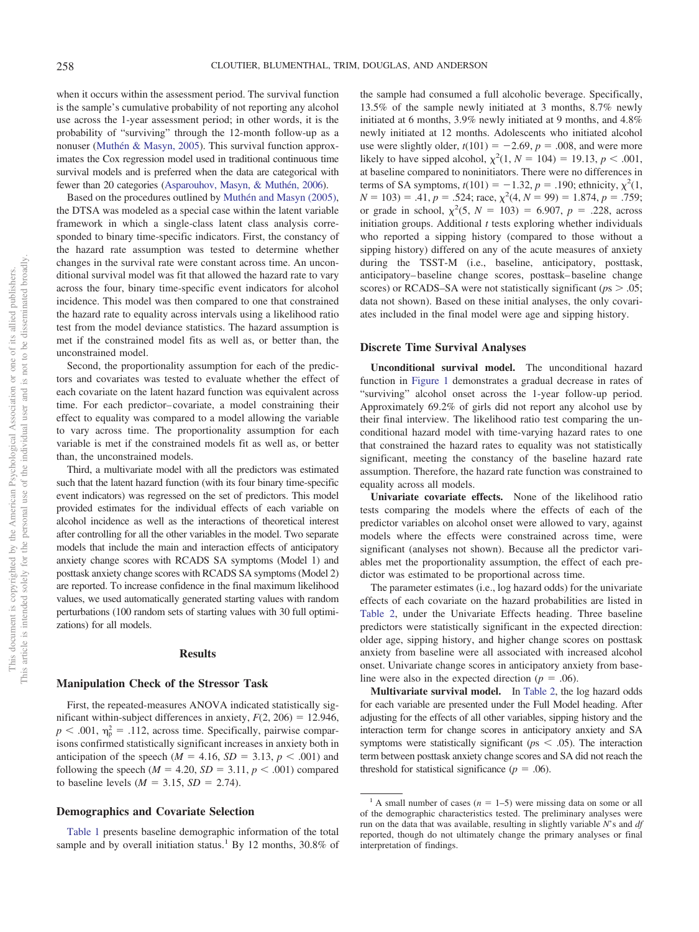when it occurs within the assessment period. The survival function is the sample's cumulative probability of not reporting any alcohol use across the 1-year assessment period; in other words, it is the probability of "surviving" through the 12-month follow-up as a nonuser [\(Muthén & Masyn, 2005\)](#page-11-20). This survival function approximates the Cox regression model used in traditional continuous time survival models and is preferred when the data are categorical with fewer than 20 categories [\(Asparouhov, Masyn, & Muthén, 2006\)](#page-9-17).

Based on the procedures outlined by [Muthén and Masyn \(2005\),](#page-11-20) the DTSA was modeled as a special case within the latent variable framework in which a single-class latent class analysis corresponded to binary time-specific indicators. First, the constancy of the hazard rate assumption was tested to determine whether changes in the survival rate were constant across time. An unconditional survival model was fit that allowed the hazard rate to vary across the four, binary time-specific event indicators for alcohol incidence. This model was then compared to one that constrained the hazard rate to equality across intervals using a likelihood ratio test from the model deviance statistics. The hazard assumption is met if the constrained model fits as well as, or better than, the unconstrained model.

Second, the proportionality assumption for each of the predictors and covariates was tested to evaluate whether the effect of each covariate on the latent hazard function was equivalent across time. For each predictor– covariate, a model constraining their effect to equality was compared to a model allowing the variable to vary across time. The proportionality assumption for each variable is met if the constrained models fit as well as, or better than, the unconstrained models.

Third, a multivariate model with all the predictors was estimated such that the latent hazard function (with its four binary time-specific event indicators) was regressed on the set of predictors. This model provided estimates for the individual effects of each variable on alcohol incidence as well as the interactions of theoretical interest after controlling for all the other variables in the model. Two separate models that include the main and interaction effects of anticipatory anxiety change scores with RCADS SA symptoms (Model 1) and posttask anxiety change scores with RCADS SA symptoms (Model 2) are reported. To increase confidence in the final maximum likelihood values, we used automatically generated starting values with random perturbations (100 random sets of starting values with 30 full optimizations) for all models.

#### **Results**

## **Manipulation Check of the Stressor Task**

First, the repeated-measures ANOVA indicated statistically significant within-subject differences in anxiety,  $F(2, 206) = 12.946$ ,  $p < .001$ ,  $\eta_p^2 = .112$ , across time. Specifically, pairwise comparisons confirmed statistically significant increases in anxiety both in anticipation of the speech ( $M = 4.16$ ,  $SD = 3.13$ ,  $p < .001$ ) and following the speech ( $M = 4.20$ ,  $SD = 3.11$ ,  $p < .001$ ) compared to baseline levels ( $M = 3.15$ ,  $SD = 2.74$ ).

## **Demographics and Covariate Selection**

[Table 1](#page-5-0) presents baseline demographic information of the total sample and by overall initiation status.<sup>1</sup> By 12 months,  $30.8\%$  of the sample had consumed a full alcoholic beverage. Specifically, 13.5% of the sample newly initiated at 3 months, 8.7% newly initiated at 6 months, 3.9% newly initiated at 9 months, and 4.8% newly initiated at 12 months. Adolescents who initiated alcohol use were slightly older,  $t(101) = -2.69$ ,  $p = .008$ , and were more likely to have sipped alcohol,  $\chi^2(1, N = 104) = 19.13, p < .001$ , at baseline compared to noninitiators. There were no differences in terms of SA symptoms,  $t(101) = -1.32$ ,  $p = .190$ ; ethnicity,  $\chi^2(1, 1)$  $N = 103$ ) = .41,  $p = .524$ ; race,  $\chi^2(4, N = 99) = 1.874$ ,  $p = .759$ ; or grade in school,  $\chi^2$ (5, *N* = 103) = 6.907, *p* = .228, across initiation groups. Additional *t* tests exploring whether individuals who reported a sipping history (compared to those without a sipping history) differed on any of the acute measures of anxiety during the TSST-M (i.e., baseline, anticipatory, posttask, anticipatory– baseline change scores, posttask– baseline change scores) or RCADS–SA were not statistically significant ( $p_s$   $> .05$ ; data not shown). Based on these initial analyses, the only covariates included in the final model were age and sipping history.

## **Discrete Time Survival Analyses**

**Unconditional survival model.** The unconditional hazard function in [Figure 1](#page-5-1) demonstrates a gradual decrease in rates of "surviving" alcohol onset across the 1-year follow-up period. Approximately 69.2% of girls did not report any alcohol use by their final interview. The likelihood ratio test comparing the unconditional hazard model with time-varying hazard rates to one that constrained the hazard rates to equality was not statistically significant, meeting the constancy of the baseline hazard rate assumption. Therefore, the hazard rate function was constrained to equality across all models.

**Univariate covariate effects.** None of the likelihood ratio tests comparing the models where the effects of each of the predictor variables on alcohol onset were allowed to vary, against models where the effects were constrained across time, were significant (analyses not shown). Because all the predictor variables met the proportionality assumption, the effect of each predictor was estimated to be proportional across time.

The parameter estimates (i.e., log hazard odds) for the univariate effects of each covariate on the hazard probabilities are listed in [Table 2,](#page-6-0) under the Univariate Effects heading. Three baseline predictors were statistically significant in the expected direction: older age, sipping history, and higher change scores on posttask anxiety from baseline were all associated with increased alcohol onset. Univariate change scores in anticipatory anxiety from baseline were also in the expected direction ( $p = .06$ ).

**Multivariate survival model.** In [Table 2,](#page-6-0) the log hazard odds for each variable are presented under the Full Model heading. After adjusting for the effects of all other variables, sipping history and the interaction term for change scores in anticipatory anxiety and SA symptoms were statistically significant ( $p<sub>s</sub> < .05$ ). The interaction term between posttask anxiety change scores and SA did not reach the threshold for statistical significance ( $p = .06$ ).

<sup>&</sup>lt;sup>1</sup> A small number of cases ( $n = 1-5$ ) were missing data on some or all of the demographic characteristics tested. The preliminary analyses were run on the data that was available, resulting in slightly variable *N*'s and *df* reported, though do not ultimately change the primary analyses or final interpretation of findings.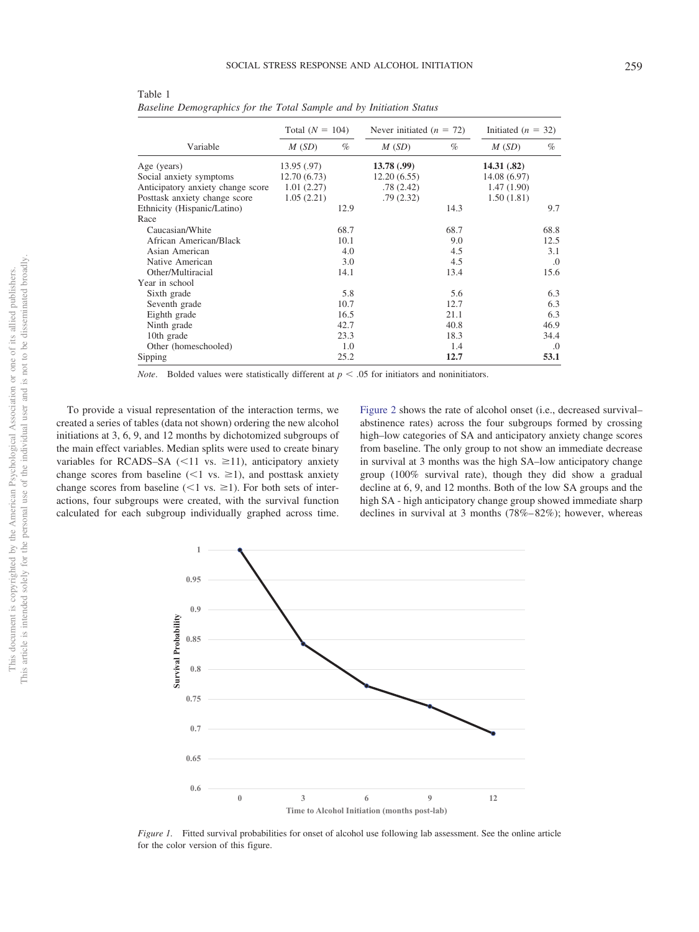|                                   | Total $(N = 104)$ |      | Never initiated $(n = 72)$ |      | Initiated ( $n = 32$ ) |      |
|-----------------------------------|-------------------|------|----------------------------|------|------------------------|------|
| Variable                          | M(SD)             | $\%$ | M(SD)                      | $\%$ | M(SD)                  | $\%$ |
| Age (years)                       | 13.95 (.97)       |      | 13.78(0.99)                |      | 14.31(.82)             |      |
| Social anxiety symptoms           | 12.70(6.73)       |      | 12.20(6.55)                |      | 14.08 (6.97)           |      |
| Anticipatory anxiety change score | 1.01(2.27)        |      | .78(2.42)                  |      | 1.47(1.90)             |      |
| Posttask anxiety change score     | 1.05(2.21)        |      | .79(2.32)                  |      | 1.50(1.81)             |      |
| Ethnicity (Hispanic/Latino)       |                   | 12.9 |                            | 14.3 |                        | 9.7  |
| Race                              |                   |      |                            |      |                        |      |
| Caucasian/White                   |                   | 68.7 |                            | 68.7 |                        | 68.8 |
| African American/Black            |                   | 10.1 |                            | 9.0  |                        | 12.5 |
| Asian American                    |                   | 4.0  |                            | 4.5  |                        | 3.1  |
| Native American                   |                   | 3.0  |                            | 4.5  |                        | .0   |
| Other/Multiracial                 |                   | 14.1 |                            | 13.4 |                        | 15.6 |
| Year in school                    |                   |      |                            |      |                        |      |
| Sixth grade                       |                   | 5.8  |                            | 5.6  |                        | 6.3  |
| Seventh grade                     |                   | 10.7 |                            | 12.7 |                        | 6.3  |
| Eighth grade                      |                   | 16.5 |                            | 21.1 |                        | 6.3  |
| Ninth grade                       |                   | 42.7 |                            | 40.8 |                        | 46.9 |
| 10th grade                        |                   | 23.3 |                            | 18.3 |                        | 34.4 |
| Other (homeschooled)              |                   | 1.0  |                            | 1.4  |                        | .0   |
| Sipping                           |                   | 25.2 |                            | 12.7 |                        | 53.1 |

<span id="page-5-0"></span>Table 1 *Baseline Demographics for the Total Sample and by Initiation Status*

*Note*. Bolded values were statistically different at  $p < .05$  for initiators and noninitiators.

To provide a visual representation of the interaction terms, we created a series of tables (data not shown) ordering the new alcohol initiations at 3, 6, 9, and 12 months by dichotomized subgroups of the main effect variables. Median splits were used to create binary variables for RCADS–SA  $(\leq 11$  vs.  $\geq 11$ ), anticipatory anxiety change scores from baseline  $(< 1$  vs.  $\geq 1$ ), and posttask anxiety change scores from baseline ( $\leq 1$  vs.  $\geq 1$ ). For both sets of interactions, four subgroups were created, with the survival function calculated for each subgroup individually graphed across time.

 $\mathbf{1}$ 

[Figure 2](#page-6-1) shows the rate of alcohol onset (i.e., decreased survival– abstinence rates) across the four subgroups formed by crossing high–low categories of SA and anticipatory anxiety change scores from baseline. The only group to not show an immediate decrease in survival at 3 months was the high SA–low anticipatory change group (100% survival rate), though they did show a gradual decline at 6, 9, and 12 months. Both of the low SA groups and the high SA - high anticipatory change group showed immediate sharp declines in survival at 3 months (78%– 82%); however, whereas



<span id="page-5-1"></span>*Figure 1.* Fitted survival probabilities for onset of alcohol use following lab assessment. See the online article for the color version of this figure.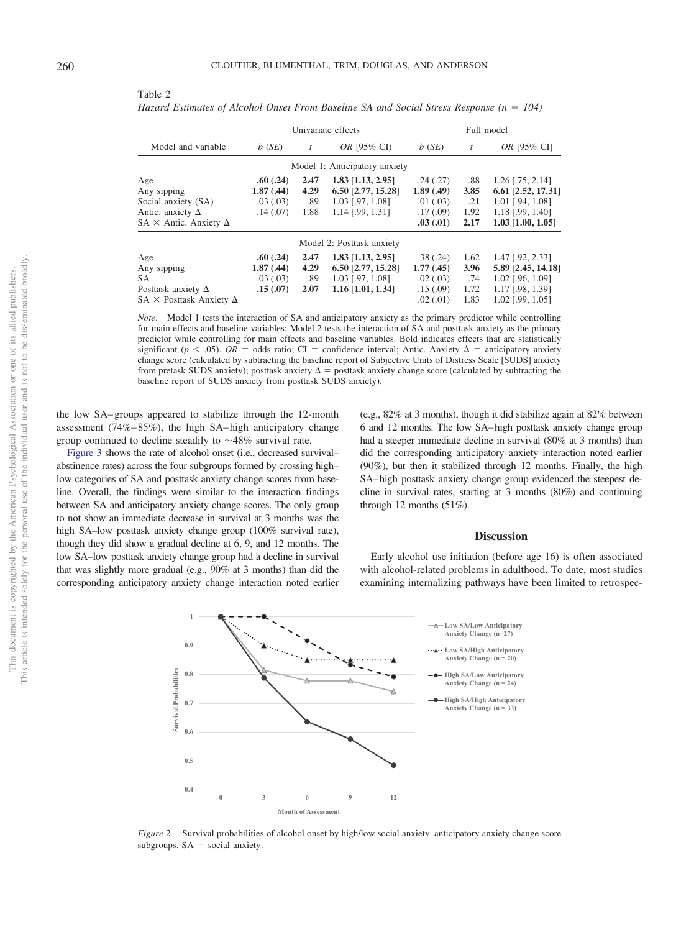|                                                                                                                                                                                                                                                                                                                                                                                                                                                                                                                                                                                                                                                                                                                                    | Univariate effects |      |                               | Full model |      |                       |  |
|------------------------------------------------------------------------------------------------------------------------------------------------------------------------------------------------------------------------------------------------------------------------------------------------------------------------------------------------------------------------------------------------------------------------------------------------------------------------------------------------------------------------------------------------------------------------------------------------------------------------------------------------------------------------------------------------------------------------------------|--------------------|------|-------------------------------|------------|------|-----------------------|--|
| Model and variable                                                                                                                                                                                                                                                                                                                                                                                                                                                                                                                                                                                                                                                                                                                 | b(SE)              |      | <i>OR</i> [95% CI]            | $b$ (SE)   | t    | OR [95% CI]           |  |
|                                                                                                                                                                                                                                                                                                                                                                                                                                                                                                                                                                                                                                                                                                                                    |                    |      | Model 1: Anticipatory anxiety |            |      |                       |  |
| Age                                                                                                                                                                                                                                                                                                                                                                                                                                                                                                                                                                                                                                                                                                                                | .60(.24)           | 2.47 | $1.83$ [1.13, 2.95]           | .24(.27)   | .88  | $1.26$ [.75, 2.14]    |  |
| Any sipping                                                                                                                                                                                                                                                                                                                                                                                                                                                                                                                                                                                                                                                                                                                        | 1.87(0.44)         | 4.29 | $6.50$ [2.77, 15.28]          | 1.89(0.49) | 3.85 | $6.61$ [2.52, 17.31]  |  |
| Social anxiety (SA)                                                                                                                                                                                                                                                                                                                                                                                                                                                                                                                                                                                                                                                                                                                | .03(.03)           | .89  | $1.03$ [.97, 1.08]            | .01(.03)   | .21  | $1.01$ [.94, $1.08$ ] |  |
| Antic. anxiety $\Delta$                                                                                                                                                                                                                                                                                                                                                                                                                                                                                                                                                                                                                                                                                                            | .14(0.07)          | 1.88 | $1.14$ [.99, 1.31]            | .17(0.09)  | 1.92 | $1.18$ [.99, 1.40]    |  |
| $SA \times$ Antic. Anxiety $\Delta$                                                                                                                                                                                                                                                                                                                                                                                                                                                                                                                                                                                                                                                                                                |                    |      |                               | .03(.01)   | 2.17 | $1.03$ [1.00, 1.05]   |  |
|                                                                                                                                                                                                                                                                                                                                                                                                                                                                                                                                                                                                                                                                                                                                    |                    |      | Model 2: Posttask anxiety     |            |      |                       |  |
| Age                                                                                                                                                                                                                                                                                                                                                                                                                                                                                                                                                                                                                                                                                                                                | .60(.24)           | 2.47 | $1.83$ [1.13, 2.95]           | .38(.24)   | 1.62 | $1.47$ [.92, 2.33]    |  |
| Any sipping                                                                                                                                                                                                                                                                                                                                                                                                                                                                                                                                                                                                                                                                                                                        | 1.87(0.44)         | 4.29 | $6.50$ [2.77, 15.28]          | 1.77(0.45) | 3.96 | 5.89 [2.45, 14.18]    |  |
| SA.                                                                                                                                                                                                                                                                                                                                                                                                                                                                                                                                                                                                                                                                                                                                | .03(0.03)          | .89  | $1.03$ [.97, 1.08]            | .02(.03)   | .74  | $1.02$ [.96, 1.09]    |  |
| Posttask anxiety $\Delta$                                                                                                                                                                                                                                                                                                                                                                                                                                                                                                                                                                                                                                                                                                          | .15(.07)           | 2.07 | $1.16$ [1.01, 1.34]           | .15(.09)   | 1.72 | 1.17 [.98, 1.39]      |  |
| $SA \times$ Posttask Anxiety $\Delta$                                                                                                                                                                                                                                                                                                                                                                                                                                                                                                                                                                                                                                                                                              |                    |      |                               | .02(0.01)  | 1.83 | $1.02$ [.99, 1.05]    |  |
| <i>Note.</i> Model 1 tests the interaction of SA and anticipatory anxiety as the primary predictor while controlling<br>for main effects and baseline variables; Model 2 tests the interaction of SA and posttask anxiety as the primary<br>predictor while controlling for main effects and baseline variables. Bold indicates effects that are statistically<br>significant ( $p < .05$ ). OR = odds ratio; CI = confidence interval; Antic. Anxiety $\Delta$ = anticipatory anxiety<br>change score (calculated by subtracting the baseline report of Subjective Units of Distress Scale [SUDS] anxiety<br>from pretask SUDS anxiety); posttask anxiety $\Delta$ = posttask anxiety change score (calculated by subtracting the |                    |      |                               |            |      |                       |  |

baseline report of SUDS anxiety from posttask SUDS anxiety).

<span id="page-6-0"></span>Table 2 *Hazard Estimates of Alcohol Onset From Baseline SA and Social Stress Response (n 104)*

the low SA– groups appeared to stabilize through the 12-month assessment  $(74\% - 85\%)$ , the high SA– high anticipatory change group continued to decline steadily to  $\sim$ 48% survival rate.

[Figure 3](#page-7-0) shows the rate of alcohol onset (i.e., decreased survival– abstinence rates) across the four subgroups formed by crossing high– low categories of SA and posttask anxiety change scores from baseline. Overall, the findings were similar to the interaction findings between SA and anticipatory anxiety change scores. The only group to not show an immediate decrease in survival at 3 months was the high SA–low posttask anxiety change group (100% survival rate), though they did show a gradual decline at 6, 9, and 12 months. The low SA–low posttask anxiety change group had a decline in survival that was slightly more gradual (e.g., 90% at 3 months) than did the corresponding anticipatory anxiety change interaction noted earlier (e.g., 82% at 3 months), though it did stabilize again at 82% between 6 and 12 months. The low SA– high posttask anxiety change group had a steeper immediate decline in survival (80% at 3 months) than did the corresponding anticipatory anxiety interaction noted earlier (90%), but then it stabilized through 12 months. Finally, the high SA– high posttask anxiety change group evidenced the steepest decline in survival rates, starting at 3 months (80%) and continuing through 12 months (51%).

## **Discussion**

Early alcohol use initiation (before age 16) is often associated with alcohol-related problems in adulthood. To date, most studies examining internalizing pathways have been limited to retrospec-



<span id="page-6-1"></span>*Figure 2.* Survival probabilities of alcohol onset by high/low social anxiety–anticipatory anxiety change score subgroups.  $SA = social$  anxiety.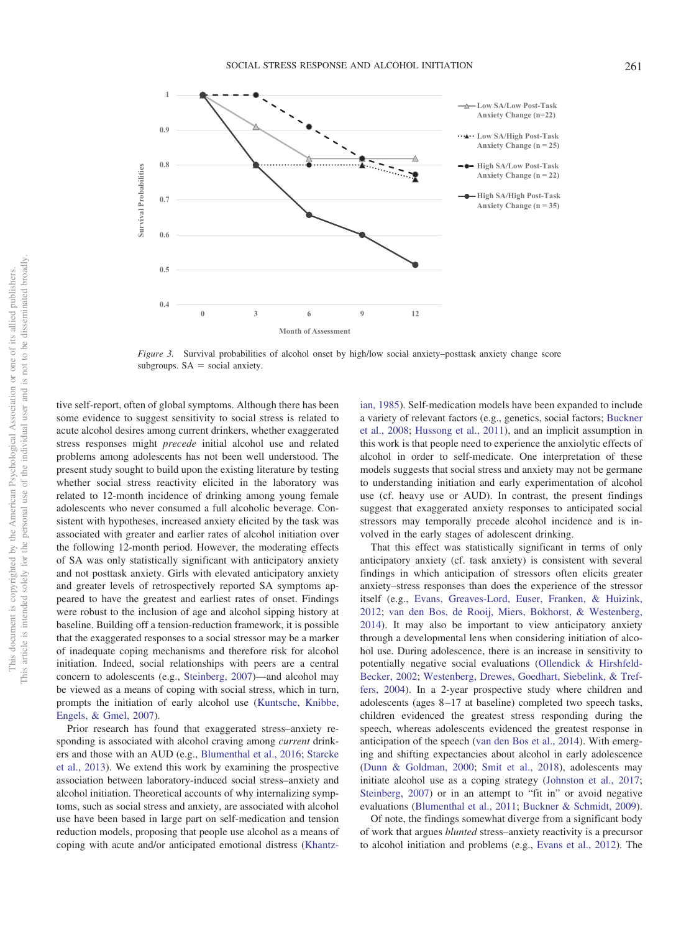

<span id="page-7-0"></span>*Figure 3.* Survival probabilities of alcohol onset by high/low social anxiety–posttask anxiety change score subgroups.  $SA = social$  anxiety.

tive self-report, often of global symptoms. Although there has been some evidence to suggest sensitivity to social stress is related to acute alcohol desires among current drinkers, whether exaggerated stress responses might *precede* initial alcohol use and related problems among adolescents has not been well understood. The present study sought to build upon the existing literature by testing whether social stress reactivity elicited in the laboratory was related to 12-month incidence of drinking among young female adolescents who never consumed a full alcoholic beverage. Consistent with hypotheses, increased anxiety elicited by the task was associated with greater and earlier rates of alcohol initiation over the following 12-month period. However, the moderating effects of SA was only statistically significant with anticipatory anxiety and not posttask anxiety. Girls with elevated anticipatory anxiety and greater levels of retrospectively reported SA symptoms appeared to have the greatest and earliest rates of onset. Findings were robust to the inclusion of age and alcohol sipping history at baseline. Building off a tension-reduction framework, it is possible that the exaggerated responses to a social stressor may be a marker of inadequate coping mechanisms and therefore risk for alcohol initiation. Indeed, social relationships with peers are a central concern to adolescents (e.g., [Steinberg, 2007\)](#page-11-4)—and alcohol may be viewed as a means of coping with social stress, which in turn, prompts the initiation of early alcohol use [\(Kuntsche, Knibbe,](#page-10-17) [Engels, & Gmel, 2007\)](#page-10-17).

Prior research has found that exaggerated stress–anxiety responding is associated with alcohol craving among *current* drinkers and those with an AUD (e.g., [Blumenthal et al., 2016;](#page-9-9) [Starcke](#page-11-8) [et al., 2013\)](#page-11-8). We extend this work by examining the prospective association between laboratory-induced social stress–anxiety and alcohol initiation. Theoretical accounts of why internalizing symptoms, such as social stress and anxiety, are associated with alcohol use have been based in large part on self-medication and tension reduction models, proposing that people use alcohol as a means of coping with acute and/or anticipated emotional distress [\(Khantz-](#page-10-18) [ian, 1985\)](#page-10-18). Self-medication models have been expanded to include a variety of relevant factors (e.g., genetics, social factors; [Buckner](#page-9-3) [et al., 2008;](#page-9-3) [Hussong et al., 2011\)](#page-10-3), and an implicit assumption in this work is that people need to experience the anxiolytic effects of alcohol in order to self-medicate. One interpretation of these models suggests that social stress and anxiety may not be germane to understanding initiation and early experimentation of alcohol use (cf. heavy use or AUD). In contrast, the present findings suggest that exaggerated anxiety responses to anticipated social stressors may temporally precede alcohol incidence and is involved in the early stages of adolescent drinking.

That this effect was statistically significant in terms of only anticipatory anxiety (cf. task anxiety) is consistent with several findings in which anticipation of stressors often elicits greater anxiety–stress responses than does the experience of the stressor itself (e.g., [Evans, Greaves-Lord, Euser, Franken, & Huizink,](#page-10-19) [2012;](#page-10-19) [van den Bos, de Rooij, Miers, Bokhorst, & Westenberg,](#page-11-22) [2014\)](#page-11-22). It may also be important to view anticipatory anxiety through a developmental lens when considering initiation of alcohol use. During adolescence, there is an increase in sensitivity to potentially negative social evaluations [\(Ollendick & Hirshfeld-](#page-11-23)[Becker, 2002;](#page-11-23) [Westenberg, Drewes, Goedhart, Siebelink, & Tref](#page-11-24)[fers, 2004\)](#page-11-24). In a 2-year prospective study where children and adolescents (ages 8 –17 at baseline) completed two speech tasks, children evidenced the greatest stress responding during the speech, whereas adolescents evidenced the greatest response in anticipation of the speech [\(van den Bos et al., 2014\)](#page-11-22). With emerging and shifting expectancies about alcohol in early adolescence [\(Dunn & Goldman, 2000;](#page-10-20) [Smit et al., 2018\)](#page-11-25), adolescents may initiate alcohol use as a coping strategy [\(Johnston et al., 2017;](#page-10-1) [Steinberg, 2007\)](#page-11-4) or in an attempt to "fit in" or avoid negative evaluations [\(Blumenthal et al., 2011;](#page-9-5) [Buckner & Schmidt, 2009\)](#page-9-7).

Of note, the findings somewhat diverge from a significant body of work that argues *blunted* stress–anxiety reactivity is a precursor to alcohol initiation and problems (e.g., [Evans et al., 2012\)](#page-10-19). The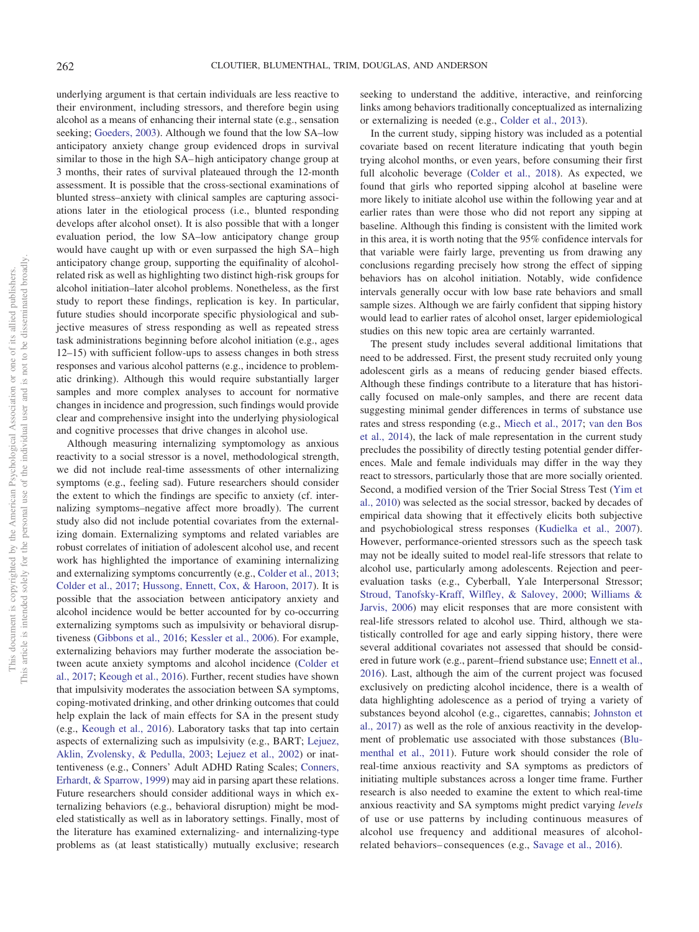underlying argument is that certain individuals are less reactive to their environment, including stressors, and therefore begin using alcohol as a means of enhancing their internal state (e.g., sensation seeking; [Goeders, 2003\)](#page-10-21). Although we found that the low SA–low anticipatory anxiety change group evidenced drops in survival similar to those in the high SA– high anticipatory change group at 3 months, their rates of survival plateaued through the 12-month assessment. It is possible that the cross-sectional examinations of blunted stress–anxiety with clinical samples are capturing associations later in the etiological process (i.e., blunted responding develops after alcohol onset). It is also possible that with a longer evaluation period, the low SA–low anticipatory change group would have caught up with or even surpassed the high SA– high anticipatory change group, supporting the equifinality of alcoholrelated risk as well as highlighting two distinct high-risk groups for alcohol initiation–later alcohol problems. Nonetheless, as the first study to report these findings, replication is key. In particular, future studies should incorporate specific physiological and subjective measures of stress responding as well as repeated stress task administrations beginning before alcohol initiation (e.g., ages 12–15) with sufficient follow-ups to assess changes in both stress responses and various alcohol patterns (e.g., incidence to problematic drinking). Although this would require substantially larger samples and more complex analyses to account for normative changes in incidence and progression, such findings would provide clear and comprehensive insight into the underlying physiological and cognitive processes that drive changes in alcohol use.

Although measuring internalizing symptomology as anxious reactivity to a social stressor is a novel, methodological strength, we did not include real-time assessments of other internalizing symptoms (e.g., feeling sad). Future researchers should consider the extent to which the findings are specific to anxiety (cf. internalizing symptoms–negative affect more broadly). The current study also did not include potential covariates from the externalizing domain. Externalizing symptoms and related variables are robust correlates of initiation of adolescent alcohol use, and recent work has highlighted the importance of examining internalizing and externalizing symptoms concurrently (e.g., [Colder et al., 2013;](#page-9-2) [Colder et al., 2017;](#page-9-18) [Hussong, Ennett, Cox, & Haroon, 2017\)](#page-10-22). It is possible that the association between anticipatory anxiety and alcohol incidence would be better accounted for by co-occurring externalizing symptoms such as impulsivity or behavioral disruptiveness [\(Gibbons et al., 2016;](#page-10-23) [Kessler et al., 2006\)](#page-10-24). For example, externalizing behaviors may further moderate the association between acute anxiety symptoms and alcohol incidence [\(Colder et](#page-9-18) [al., 2017;](#page-9-18) [Keough et al., 2016\)](#page-10-6). Further, recent studies have shown that impulsivity moderates the association between SA symptoms, coping-motivated drinking, and other drinking outcomes that could help explain the lack of main effects for SA in the present study (e.g., [Keough et al., 2016\)](#page-10-6). Laboratory tasks that tap into certain aspects of externalizing such as impulsivity (e.g., BART; [Lejuez,](#page-10-25) [Aklin, Zvolensky, & Pedulla, 2003;](#page-10-25) [Lejuez et al., 2002\)](#page-10-26) or inattentiveness (e.g., Conners' Adult ADHD Rating Scales; [Conners,](#page-9-19) [Erhardt, & Sparrow, 1999\)](#page-9-19) may aid in parsing apart these relations. Future researchers should consider additional ways in which externalizing behaviors (e.g., behavioral disruption) might be modeled statistically as well as in laboratory settings. Finally, most of the literature has examined externalizing- and internalizing-type problems as (at least statistically) mutually exclusive; research seeking to understand the additive, interactive, and reinforcing links among behaviors traditionally conceptualized as internalizing or externalizing is needed (e.g., [Colder et al., 2013\)](#page-9-2).

In the current study, sipping history was included as a potential covariate based on recent literature indicating that youth begin trying alcohol months, or even years, before consuming their first full alcoholic beverage [\(Colder et al., 2018\)](#page-9-12). As expected, we found that girls who reported sipping alcohol at baseline were more likely to initiate alcohol use within the following year and at earlier rates than were those who did not report any sipping at baseline. Although this finding is consistent with the limited work in this area, it is worth noting that the 95% confidence intervals for that variable were fairly large, preventing us from drawing any conclusions regarding precisely how strong the effect of sipping behaviors has on alcohol initiation. Notably, wide confidence intervals generally occur with low base rate behaviors and small sample sizes. Although we are fairly confident that sipping history would lead to earlier rates of alcohol onset, larger epidemiological studies on this new topic area are certainly warranted.

The present study includes several additional limitations that need to be addressed. First, the present study recruited only young adolescent girls as a means of reducing gender biased effects. Although these findings contribute to a literature that has historically focused on male-only samples, and there are recent data suggesting minimal gender differences in terms of substance use rates and stress responding (e.g., [Miech et al., 2017;](#page-11-0) [van den Bos](#page-11-22) [et al., 2014\)](#page-11-22), the lack of male representation in the current study precludes the possibility of directly testing potential gender differences. Male and female individuals may differ in the way they react to stressors, particularly those that are more socially oriented. Second, a modified version of the Trier Social Stress Test [\(Yim et](#page-11-19) [al., 2010\)](#page-11-19) was selected as the social stressor, backed by decades of empirical data showing that it effectively elicits both subjective and psychobiological stress responses [\(Kudielka et al., 2007\)](#page-10-16). However, performance-oriented stressors such as the speech task may not be ideally suited to model real-life stressors that relate to alcohol use, particularly among adolescents. Rejection and peerevaluation tasks (e.g., Cyberball, Yale Interpersonal Stressor; [Stroud, Tanofsky-Kraff, Wilfley, & Salovey, 2000;](#page-11-26) [Williams &](#page-11-27) [Jarvis, 2006\)](#page-11-27) may elicit responses that are more consistent with real-life stressors related to alcohol use. Third, although we statistically controlled for age and early sipping history, there were several additional covariates not assessed that should be considered in future work (e.g., parent–friend substance use; [Ennett et al.,](#page-10-27) [2016\)](#page-10-27). Last, although the aim of the current project was focused exclusively on predicting alcohol incidence, there is a wealth of data highlighting adolescence as a period of trying a variety of substances beyond alcohol (e.g., cigarettes, cannabis; [Johnston et](#page-10-1) [al., 2017\)](#page-10-1) as well as the role of anxious reactivity in the development of problematic use associated with those substances [\(Blu](#page-9-5)[menthal et al., 2011\)](#page-9-5). Future work should consider the role of real-time anxious reactivity and SA symptoms as predictors of initiating multiple substances across a longer time frame. Further research is also needed to examine the extent to which real-time anxious reactivity and SA symptoms might predict varying *levels* of use or use patterns by including continuous measures of alcohol use frequency and additional measures of alcoholrelated behaviors– consequences (e.g., [Savage et al., 2016\)](#page-11-28).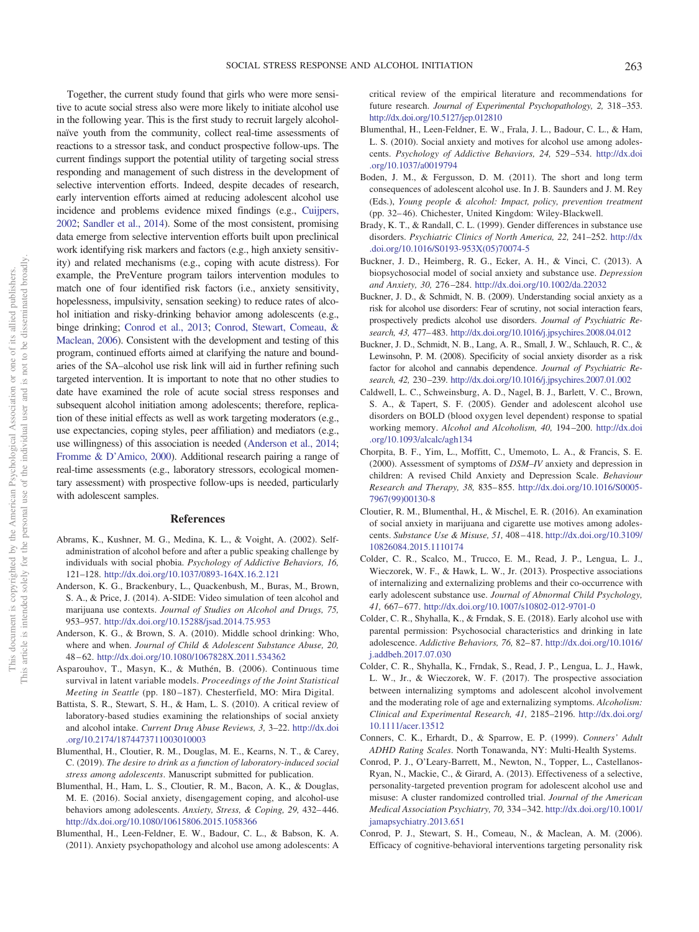Together, the current study found that girls who were more sensitive to acute social stress also were more likely to initiate alcohol use in the following year. This is the first study to recruit largely alcoholnaïve youth from the community, collect real-time assessments of reactions to a stressor task, and conduct prospective follow-ups. The current findings support the potential utility of targeting social stress responding and management of such distress in the development of selective intervention efforts. Indeed, despite decades of research, early intervention efforts aimed at reducing adolescent alcohol use incidence and problems evidence mixed findings (e.g., [Cuijpers,](#page-10-28) [2002;](#page-10-28) [Sandler et al., 2014\)](#page-11-29). Some of the most consistent, promising data emerge from selective intervention efforts built upon preclinical work identifying risk markers and factors (e.g., high anxiety sensitivity) and related mechanisms (e.g., coping with acute distress). For example, the PreVenture program tailors intervention modules to match one of four identified risk factors (i.e., anxiety sensitivity, hopelessness, impulsivity, sensation seeking) to reduce rates of alcohol initiation and risky-drinking behavior among adolescents (e.g., binge drinking; [Conrod et al., 2013;](#page-9-20) [Conrod, Stewart, Comeau, &](#page-9-21) [Maclean, 2006\)](#page-9-21). Consistent with the development and testing of this program, continued efforts aimed at clarifying the nature and boundaries of the SA–alcohol use risk link will aid in further refining such targeted intervention. It is important to note that no other studies to date have examined the role of acute social stress responses and subsequent alcohol initiation among adolescents; therefore, replication of these initial effects as well as work targeting moderators (e.g., use expectancies, coping styles, peer affiliation) and mediators (e.g., use willingness) of this association is needed [\(Anderson et al., 2014;](#page-9-22) [Fromme & D'Amico, 2000\)](#page-10-29). Additional research pairing a range of real-time assessments (e.g., laboratory stressors, ecological momentary assessment) with prospective follow-ups is needed, particularly with adolescent samples.

#### **References**

- <span id="page-9-8"></span>Abrams, K., Kushner, M. G., Medina, K. L., & Voight, A. (2002). Selfadministration of alcohol before and after a public speaking challenge by individuals with social phobia. *Psychology of Addictive Behaviors, 16,* 121–128. <http://dx.doi.org/10.1037/0893-164X.16.2.121>
- <span id="page-9-22"></span>Anderson, K. G., Brackenbury, L., Quackenbush, M., Buras, M., Brown, S. A., & Price, J. (2014). A-SIDE: Video simulation of teen alcohol and marijuana use contexts. *Journal of Studies on Alcohol and Drugs, 75,* 953–957. <http://dx.doi.org/10.15288/jsad.2014.75.953>
- <span id="page-9-4"></span>Anderson, K. G., & Brown, S. A. (2010). Middle school drinking: Who, where and when. *Journal of Child & Adolescent Substance Abuse, 20,* 48 – 62. <http://dx.doi.org/10.1080/1067828X.2011.534362>
- <span id="page-9-17"></span>Asparouhov, T., Masyn, K., & Muthén, B. (2006). Continuous time survival in latent variable models. *Proceedings of the Joint Statistical Meeting in Seattle* (pp. 180 –187). Chesterfield, MO: Mira Digital.
- <span id="page-9-1"></span>Battista, S. R., Stewart, S. H., & Ham, L. S. (2010). A critical review of laboratory-based studies examining the relationships of social anxiety and alcohol intake. *Current Drug Abuse Reviews, 3,* 3–22. [http://dx.doi](http://dx.doi.org/10.2174/1874473711003010003) [.org/10.2174/1874473711003010003](http://dx.doi.org/10.2174/1874473711003010003)
- <span id="page-9-13"></span>Blumenthal, H., Cloutier, R. M., Douglas, M. E., Kearns, N. T., & Carey, C. (2019). *The desire to drink as a function of laboratory-induced social stress among adolescents*. Manuscript submitted for publication.
- <span id="page-9-9"></span>Blumenthal, H., Ham, L. S., Cloutier, R. M., Bacon, A. K., & Douglas, M. E. (2016). Social anxiety, disengagement coping, and alcohol-use behaviors among adolescents. Anxiety, Stress, & Coping, 29, 432-446. <http://dx.doi.org/10.1080/10615806.2015.1058366>
- <span id="page-9-5"></span>Blumenthal, H., Leen-Feldner, E. W., Badour, C. L., & Babson, K. A. (2011). Anxiety psychopathology and alcohol use among adolescents: A

critical review of the empirical literature and recommendations for future research. *Journal of Experimental Psychopathology, 2,* 318 –353. <http://dx.doi.org/10.5127/jep.012810>

- <span id="page-9-15"></span>Blumenthal, H., Leen-Feldner, E. W., Frala, J. L., Badour, C. L., & Ham, L. S. (2010). Social anxiety and motives for alcohol use among adolescents. *Psychology of Addictive Behaviors, 24,* 529 –534. [http://dx.doi](http://dx.doi.org/10.1037/a0019794) [.org/10.1037/a0019794](http://dx.doi.org/10.1037/a0019794)
- <span id="page-9-0"></span>Boden, J. M., & Fergusson, D. M. (2011). The short and long term consequences of adolescent alcohol use. In J. B. Saunders and J. M. Rey (Eds.), *Young people & alcohol: Impact, policy, prevention treatment* (pp. 32– 46). Chichester, United Kingdom: Wiley-Blackwell.
- <span id="page-9-11"></span>Brady, K. T., & Randall, C. L. (1999). Gender differences in substance use disorders. *Psychiatric Clinics of North America, 22,* 241–252. [http://dx](http://dx.doi.org/10.1016/S0193-953X%2805%2970074-5) [.doi.org/10.1016/S0193-953X\(05\)70074-5](http://dx.doi.org/10.1016/S0193-953X%2805%2970074-5)
- <span id="page-9-6"></span>Buckner, J. D., Heimberg, R. G., Ecker, A. H., & Vinci, C. (2013). A biopsychosocial model of social anxiety and substance use. *Depression and Anxiety, 30,* 276 –284. <http://dx.doi.org/10.1002/da.22032>
- <span id="page-9-7"></span>Buckner, J. D., & Schmidt, N. B. (2009). Understanding social anxiety as a risk for alcohol use disorders: Fear of scrutiny, not social interaction fears, prospectively predicts alcohol use disorders. *Journal of Psychiatric Research, 43,* 477– 483. <http://dx.doi.org/10.1016/j.jpsychires.2008.04.012>
- <span id="page-9-3"></span>Buckner, J. D., Schmidt, N. B., Lang, A. R., Small, J. W., Schlauch, R. C., & Lewinsohn, P. M. (2008). Specificity of social anxiety disorder as a risk factor for alcohol and cannabis dependence. *Journal of Psychiatric Research, 42,* 230 –239. <http://dx.doi.org/10.1016/j.jpsychires.2007.01.002>
- <span id="page-9-10"></span>Caldwell, L. C., Schweinsburg, A. D., Nagel, B. J., Barlett, V. C., Brown, S. A., & Tapert, S. F. (2005). Gender and adolescent alcohol use disorders on BOLD (blood oxygen level dependent) response to spatial working memory. *Alcohol and Alcoholism, 40,* 194 –200. [http://dx.doi](http://dx.doi.org/10.1093/alcalc/agh134) [.org/10.1093/alcalc/agh134](http://dx.doi.org/10.1093/alcalc/agh134)
- <span id="page-9-14"></span>Chorpita, B. F., Yim, L., Moffitt, C., Umemoto, L. A., & Francis, S. E. (2000). Assessment of symptoms of *DSM–IV* anxiety and depression in children: A revised Child Anxiety and Depression Scale. *Behaviour Research and Therapy, 38,* 835– 855. [http://dx.doi.org/10.1016/S0005-](http://dx.doi.org/10.1016/S0005-7967%2899%2900130-8) [7967\(99\)00130-8](http://dx.doi.org/10.1016/S0005-7967%2899%2900130-8)
- <span id="page-9-16"></span>Cloutier, R. M., Blumenthal, H., & Mischel, E. R. (2016). An examination of social anxiety in marijuana and cigarette use motives among adolescents. *Substance Use & Misuse, 51,* 408 – 418. [http://dx.doi.org/10.3109/](http://dx.doi.org/10.3109/10826084.2015.1110174) [10826084.2015.1110174](http://dx.doi.org/10.3109/10826084.2015.1110174)
- <span id="page-9-2"></span>Colder, C. R., Scalco, M., Trucco, E. M., Read, J. P., Lengua, L. J., Wieczorek, W. F., & Hawk, L. W., Jr. (2013). Prospective associations of internalizing and externalizing problems and their co-occurrence with early adolescent substance use. *Journal of Abnormal Child Psychology,* 41, 667-677. <http://dx.doi.org/10.1007/s10802-012-9701-0>
- <span id="page-9-12"></span>Colder, C. R., Shyhalla, K., & Frndak, S. E. (2018). Early alcohol use with parental permission: Psychosocial characteristics and drinking in late adolescence. *Addictive Behaviors, 76,* 82– 87. [http://dx.doi.org/10.1016/](http://dx.doi.org/10.1016/j.addbeh.2017.07.030) [j.addbeh.2017.07.030](http://dx.doi.org/10.1016/j.addbeh.2017.07.030)
- <span id="page-9-18"></span>Colder, C. R., Shyhalla, K., Frndak, S., Read, J. P., Lengua, L. J., Hawk, L. W., Jr., & Wieczorek, W. F. (2017). The prospective association between internalizing symptoms and adolescent alcohol involvement and the moderating role of age and externalizing symptoms. *Alcoholism: Clinical and Experimental Research, 41,* 2185–2196. [http://dx.doi.org/](http://dx.doi.org/10.1111/acer.13512) [10.1111/acer.13512](http://dx.doi.org/10.1111/acer.13512)
- <span id="page-9-19"></span>Conners, C. K., Erhardt, D., & Sparrow, E. P. (1999). *Conners' Adult ADHD Rating Scales*. North Tonawanda, NY: Multi-Health Systems.
- <span id="page-9-20"></span>Conrod, P. J., O'Leary-Barrett, M., Newton, N., Topper, L., Castellanos-Ryan, N., Mackie, C., & Girard, A. (2013). Effectiveness of a selective, personality-targeted prevention program for adolescent alcohol use and misuse: A cluster randomized controlled trial. *Journal of the American Medical Association Psychiatry, 70,* 334 –342. [http://dx.doi.org/10.1001/](http://dx.doi.org/10.1001/jamapsychiatry.2013.651) [jamapsychiatry.2013.651](http://dx.doi.org/10.1001/jamapsychiatry.2013.651)
- <span id="page-9-21"></span>Conrod, P. J., Stewart, S. H., Comeau, N., & Maclean, A. M. (2006). Efficacy of cognitive-behavioral interventions targeting personality risk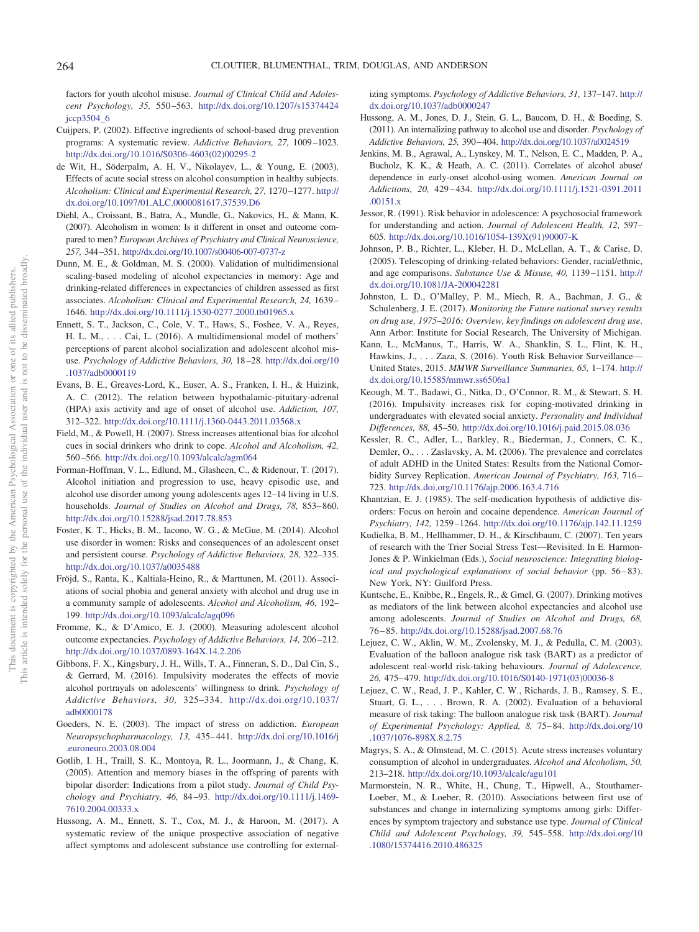factors for youth alcohol misuse. *Journal of Clinical Child and Adolescent Psychology, 35,* 550 –563. [http://dx.doi.org/10.1207/s15374424](http://dx.doi.org/10.1207/s15374424jccp3504_6) [jccp3504\\_6](http://dx.doi.org/10.1207/s15374424jccp3504_6)

- <span id="page-10-28"></span>Cuijpers, P. (2002). Effective ingredients of school-based drug prevention programs: A systematic review. *Addictive Behaviors, 27,* 1009 –1023. [http://dx.doi.org/10.1016/S0306-4603\(02\)00295-2](http://dx.doi.org/10.1016/S0306-4603%2802%2900295-2)
- <span id="page-10-8"></span>de Wit, H., Söderpalm, A. H. V., Nikolayev, L., & Young, E. (2003). Effects of acute social stress on alcohol consumption in healthy subjects. *Alcoholism: Clinical and Experimental Research, 27,* 1270 –1277. [http://](http://dx.doi.org/10.1097/01.ALC.0000081617.37539.D6) [dx.doi.org/10.1097/01.ALC.0000081617.37539.D6](http://dx.doi.org/10.1097/01.ALC.0000081617.37539.D6)
- <span id="page-10-12"></span>Diehl, A., Croissant, B., Batra, A., Mundle, G., Nakovics, H., & Mann, K. (2007). Alcoholism in women: Is it different in onset and outcome compared to men? *European Archives of Psychiatry and Clinical Neuroscience, 257,* 344 –351. <http://dx.doi.org/10.1007/s00406-007-0737-z>
- <span id="page-10-20"></span>Dunn, M. E., & Goldman, M. S. (2000). Validation of multidimensional scaling-based modeling of alcohol expectancies in memory: Age and drinking-related differences in expectancies of children assessed as first associates. *Alcoholism: Clinical and Experimental Research, 24,* 1639 – 1646. <http://dx.doi.org/10.1111/j.1530-0277.2000.tb01965.x>
- <span id="page-10-27"></span>Ennett, S. T., Jackson, C., Cole, V. T., Haws, S., Foshee, V. A., Reyes, H. L. M., . . . Cai, L. (2016). A multidimensional model of mothers' perceptions of parent alcohol socialization and adolescent alcohol misuse. *Psychology of Addictive Behaviors, 30,* 18 –28. [http://dx.doi.org/10](http://dx.doi.org/10.1037/adb0000119) [.1037/adb0000119](http://dx.doi.org/10.1037/adb0000119)
- <span id="page-10-19"></span>Evans, B. E., Greaves-Lord, K., Euser, A. S., Franken, I. H., & Huizink, A. C. (2012). The relation between hypothalamic-pituitary-adrenal (HPA) axis activity and age of onset of alcohol use. *Addiction, 107,* 312–322. <http://dx.doi.org/10.1111/j.1360-0443.2011.03568.x>
- <span id="page-10-7"></span>Field, M., & Powell, H. (2007). Stress increases attentional bias for alcohol cues in social drinkers who drink to cope. *Alcohol and Alcoholism, 42,* 560 –566. <http://dx.doi.org/10.1093/alcalc/agm064>
- <span id="page-10-10"></span>Forman-Hoffman, V. L., Edlund, M., Glasheen, C., & Ridenour, T. (2017). Alcohol initiation and progression to use, heavy episodic use, and alcohol use disorder among young adolescents ages 12–14 living in U.S. households. *Journal of Studies on Alcohol and Drugs, 78,* 853– 860. <http://dx.doi.org/10.15288/jsad.2017.78.853>
- <span id="page-10-14"></span>Foster, K. T., Hicks, B. M., Iacono, W. G., & McGue, M. (2014). Alcohol use disorder in women: Risks and consequences of an adolescent onset and persistent course. *Psychology of Addictive Behaviors, 28,* 322–335. <http://dx.doi.org/10.1037/a0035488>
- <span id="page-10-4"></span>Fröjd, S., Ranta, K., Kaltiala-Heino, R., & Marttunen, M. (2011). Associations of social phobia and general anxiety with alcohol and drug use in a community sample of adolescents. *Alcohol and Alcoholism, 46,* 192– 199. <http://dx.doi.org/10.1093/alcalc/agq096>
- <span id="page-10-29"></span>Fromme, K., & D'Amico, E. J. (2000). Measuring adolescent alcohol outcome expectancies. *Psychology of Addictive Behaviors, 14,* 206 –212. <http://dx.doi.org/10.1037/0893-164X.14.2.206>
- <span id="page-10-23"></span>Gibbons, F. X., Kingsbury, J. H., Wills, T. A., Finneran, S. D., Dal Cin, S., & Gerrard, M. (2016). Impulsivity moderates the effects of movie alcohol portrayals on adolescents' willingness to drink. *Psychology of Addictive Behaviors, 30,* 325–334. [http://dx.doi.org/10.1037/](http://dx.doi.org/10.1037/adb0000178) [adb0000178](http://dx.doi.org/10.1037/adb0000178)
- <span id="page-10-21"></span>Goeders, N. E. (2003). The impact of stress on addiction. *European Neuropsychopharmacology, 13,* 435– 441. [http://dx.doi.org/10.1016/j](http://dx.doi.org/10.1016/j.euroneuro.2003.08.004) [.euroneuro.2003.08.004](http://dx.doi.org/10.1016/j.euroneuro.2003.08.004)
- <span id="page-10-15"></span>Gotlib, I. H., Traill, S. K., Montoya, R. L., Joormann, J., & Chang, K. (2005). Attention and memory biases in the offspring of parents with bipolar disorder: Indications from a pilot study. *Journal of Child Psychology and Psychiatry, 46,* 84 –93. [http://dx.doi.org/10.1111/j.1469-](http://dx.doi.org/10.1111/j.1469-7610.2004.00333.x) [7610.2004.00333.x](http://dx.doi.org/10.1111/j.1469-7610.2004.00333.x)
- <span id="page-10-22"></span>Hussong, A. M., Ennett, S. T., Cox, M. J., & Haroon, M. (2017). A systematic review of the unique prospective association of negative affect symptoms and adolescent substance use controlling for external-

izing symptoms. *Psychology of Addictive Behaviors, 31,* 137–147. [http://](http://dx.doi.org/10.1037/adb0000247) [dx.doi.org/10.1037/adb0000247](http://dx.doi.org/10.1037/adb0000247)

- <span id="page-10-3"></span>Hussong, A. M., Jones, D. J., Stein, G. L., Baucom, D. H., & Boeding, S. (2011). An internalizing pathway to alcohol use and disorder. *Psychology of Addictive Behaviors, 25,* 390 – 404. <http://dx.doi.org/10.1037/a0024519>
- <span id="page-10-2"></span>Jenkins, M. B., Agrawal, A., Lynskey, M. T., Nelson, E. C., Madden, P. A., Bucholz, K. K., & Heath, A. C. (2011). Correlates of alcohol abuse/ dependence in early-onset alcohol-using women. *American Journal on Addictions, 20,* 429 – 434. [http://dx.doi.org/10.1111/j.1521-0391.2011](http://dx.doi.org/10.1111/j.1521-0391.2011.00151.x) [.00151.x](http://dx.doi.org/10.1111/j.1521-0391.2011.00151.x)
- <span id="page-10-0"></span>Jessor, R. (1991). Risk behavior in adolescence: A psychosocial framework for understanding and action. *Journal of Adolescent Health, 12,* 597– 605. [http://dx.doi.org/10.1016/1054-139X\(91\)90007-K](http://dx.doi.org/10.1016/1054-139X%2891%2990007-K)
- <span id="page-10-13"></span>Johnson, P. B., Richter, L., Kleber, H. D., McLellan, A. T., & Carise, D. (2005). Telescoping of drinking-related behaviors: Gender, racial/ethnic, and age comparisons. *Substance Use & Misuse, 40,* 1139 –1151. [http://](http://dx.doi.org/10.1081/JA-200042281) [dx.doi.org/10.1081/JA-200042281](http://dx.doi.org/10.1081/JA-200042281)
- <span id="page-10-1"></span>Johnston, L. D., O'Malley, P. M., Miech, R. A., Bachman, J. G., & Schulenberg, J. E. (2017). *Monitoring the Future national survey results on drug use, 1975–2016: Overview, key findings on adolescent drug use*. Ann Arbor: Institute for Social Research, The University of Michigan.
- <span id="page-10-11"></span>Kann, L., McManus, T., Harris, W. A., Shanklin, S. L., Flint, K. H., Hawkins, J.,... Zaza, S. (2016). Youth Risk Behavior Surveillance— United States, 2015. *MMWR Surveillance Summaries, 65,* 1–174. [http://](http://dx.doi.org/10.15585/mmwr.ss6506a1) [dx.doi.org/10.15585/mmwr.ss6506a1](http://dx.doi.org/10.15585/mmwr.ss6506a1)
- <span id="page-10-6"></span>Keough, M. T., Badawi, G., Nitka, D., O'Connor, R. M., & Stewart, S. H. (2016). Impulsivity increases risk for coping-motivated drinking in undergraduates with elevated social anxiety. *Personality and Individual Differences, 88,* 45–50. <http://dx.doi.org/10.1016/j.paid.2015.08.036>
- <span id="page-10-24"></span>Kessler, R. C., Adler, L., Barkley, R., Biederman, J., Conners, C. K., Demler, O.,... Zaslavsky, A. M. (2006). The prevalence and correlates of adult ADHD in the United States: Results from the National Comorbidity Survey Replication. *American Journal of Psychiatry, 163,* 716 – 723. <http://dx.doi.org/10.1176/ajp.2006.163.4.716>
- <span id="page-10-18"></span>Khantzian, E. J. (1985). The self-medication hypothesis of addictive disorders: Focus on heroin and cocaine dependence. *American Journal of Psychiatry, 142,* 1259 –1264. <http://dx.doi.org/10.1176/ajp.142.11.1259>
- <span id="page-10-16"></span>Kudielka, B. M., Hellhammer, D. H., & Kirschbaum, C. (2007). Ten years of research with the Trier Social Stress Test—Revisited. In E. Harmon-Jones & P. Winkielman (Eds.), *Social neuroscience: Integrating biological and psychological explanations of social behavior* (pp. 56 – 83). New York, NY: Guilford Press.
- <span id="page-10-17"></span>Kuntsche, E., Knibbe, R., Engels, R., & Gmel, G. (2007). Drinking motives as mediators of the link between alcohol expectancies and alcohol use among adolescents. *Journal of Studies on Alcohol and Drugs, 68,* 76 – 85. <http://dx.doi.org/10.15288/jsad.2007.68.76>
- <span id="page-10-25"></span>Lejuez, C. W., Aklin, W. M., Zvolensky, M. J., & Pedulla, C. M. (2003). Evaluation of the balloon analogue risk task (BART) as a predictor of adolescent real-world risk-taking behaviours. *Journal of Adolescence, 26,* 475– 479. [http://dx.doi.org/10.1016/S0140-1971\(03\)00036-8](http://dx.doi.org/10.1016/S0140-1971%2803%2900036-8)
- <span id="page-10-26"></span>Lejuez, C. W., Read, J. P., Kahler, C. W., Richards, J. B., Ramsey, S. E., Stuart, G. L., . . . Brown, R. A. (2002). Evaluation of a behavioral measure of risk taking: The balloon analogue risk task (BART). *Journal of Experimental Psychology: Applied, 8,* 75– 84. [http://dx.doi.org/10](http://dx.doi.org/10.1037/1076-898X.8.2.75) [.1037/1076-898X.8.2.75](http://dx.doi.org/10.1037/1076-898X.8.2.75)
- <span id="page-10-9"></span>Magrys, S. A., & Olmstead, M. C. (2015). Acute stress increases voluntary consumption of alcohol in undergraduates. *Alcohol and Alcoholism, 50,* 213–218. <http://dx.doi.org/10.1093/alcalc/agu101>
- <span id="page-10-5"></span>Marmorstein, N. R., White, H., Chung, T., Hipwell, A., Stouthamer-Loeber, M., & Loeber, R. (2010). Associations between first use of substances and change in internalizing symptoms among girls: Differences by symptom trajectory and substance use type. *Journal of Clinical Child and Adolescent Psychology, 39,* 545–558. [http://dx.doi.org/10](http://dx.doi.org/10.1080/15374416.2010.486325) [.1080/15374416.2010.486325](http://dx.doi.org/10.1080/15374416.2010.486325)